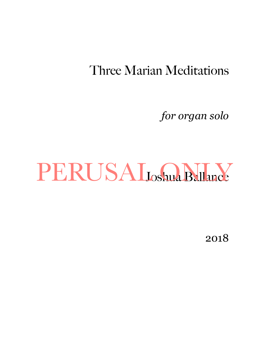## Three Marian Meditations

*for organ solo*

# PERUSAL LOSAULA Ballance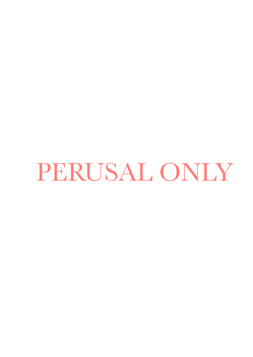PERUSAL ONLY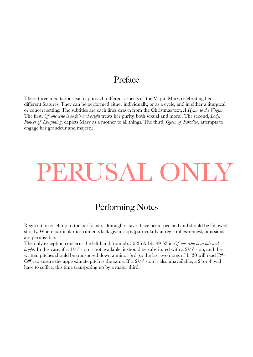#### Preface

These three meditations each approach different aspects of the Virgin Mary, celebrating her different features. They can be performed either individually, or as a cycle, and in either a liturgical or concert setting. The subtitles are each lines drawn from the Christmas text, *A Hymn to the Virgin.*  The first, *Of one who is so fair and bright* treats her purity, both sexual and moral. The second, *Lady, Flower of Everything*, depicts Mary as a mother to all things. The third, *Queen of Paradise*, attempts to engage her grandeur and majesty.

## PERUSAL ONLY

#### Performing Notes

Registration is left up to the performer, although octaves have been specified and should be followed strictly. Where particular instruments lack given stops (particularly at registral extremes), omissions are permissible.

The only exception concerns the left hand from bb. 30-36 & bb. 49-53 in *Of one who is so fair and bright*. In this case, if a 1<sup>3</sup>/<sub>5</sub>' stop is not available, it should be substituted with a 2<sup>2</sup>/<sub>3</sub>' stop, and the written pitches should be transposed down a minor 3rd (so the last two notes of b. 30 will read F#-G#), to ensure the approximate pitch is the same. If a  $2\frac{2}{3}$  stop is also unavailable, a 2' or 4' will have to suffice, this time transposing up by a major third.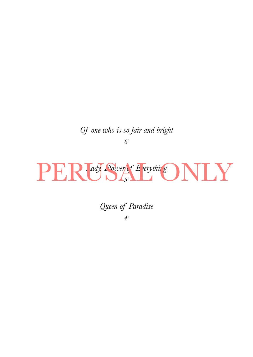*Of one who is so fair and bright 6'*

*Lady, Flower of Everything* PERUS Nower (Frerything NIV

> *Queen of Paradise 4'*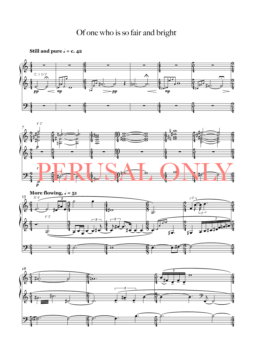Of one who is so fair and bright

**Still** and  $\bm{p}$ ure  $\bm{J}$  =  $\bm{c}$ . 42

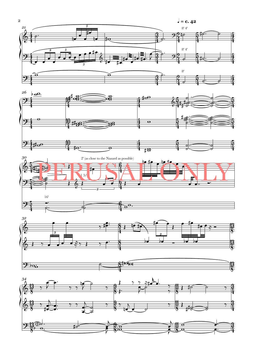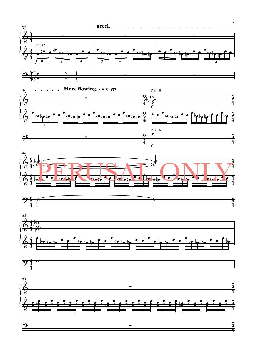









.<br>3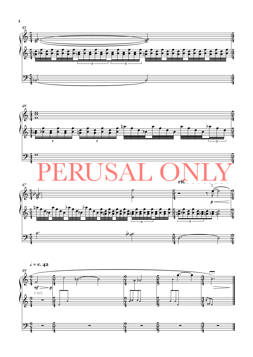



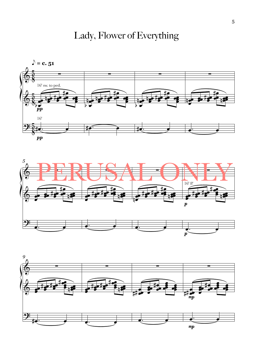## Lady, Flower of Everything





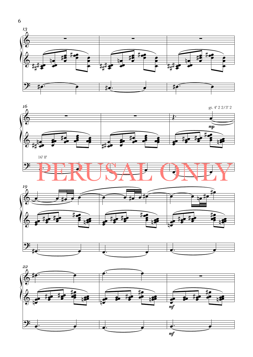





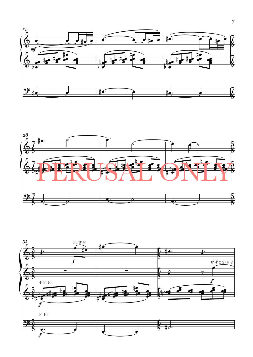



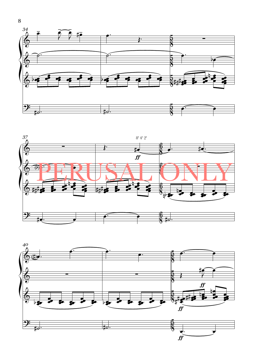



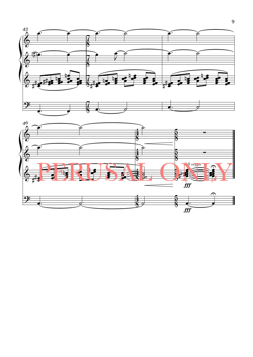

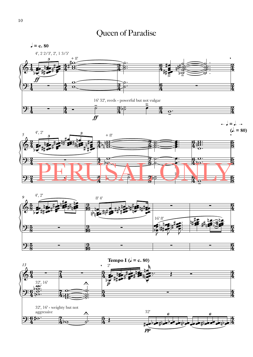### Queen of Paradise

 $\vert$  = c. 80







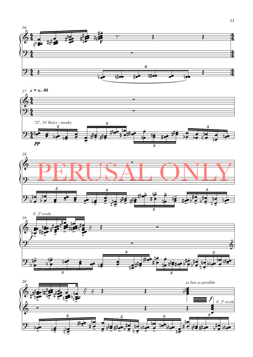







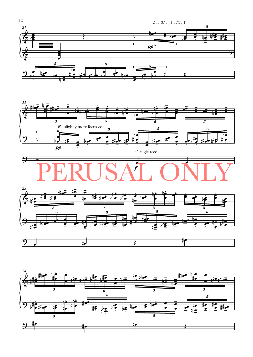





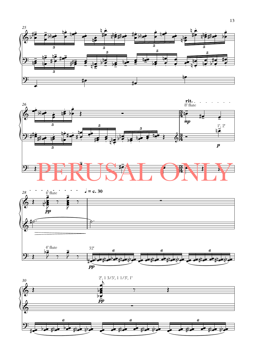





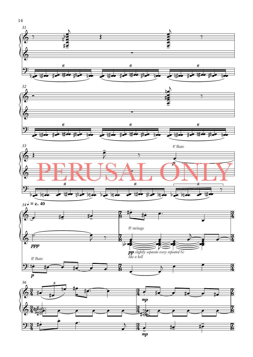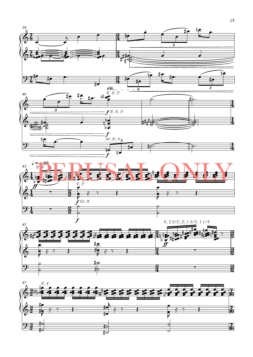